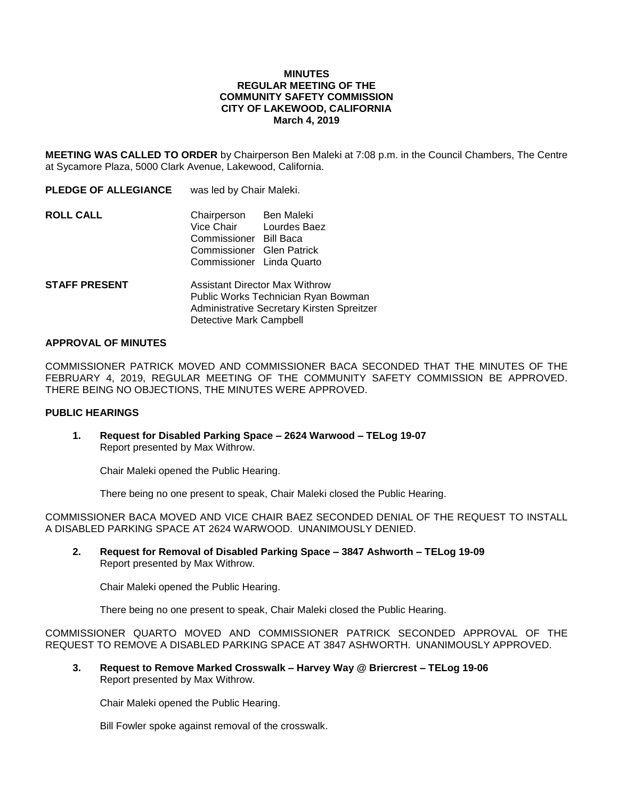#### **MINUTES REGULAR MEETING OF THE COMMUNITY SAFETY COMMISSION CITY OF LAKEWOOD, CALIFORNIA March 4, 2019**

**MEETING WAS CALLED TO ORDER** by Chairperson Ben Maleki at 7:08 p.m. in the Council Chambers, The Centre at Sycamore Plaza, 5000 Clark Avenue, Lakewood, California.

| <b>PLEDGE OF ALLEGIANCE</b> | was led by Chair Maleki.                                                                                                                           |  |
|-----------------------------|----------------------------------------------------------------------------------------------------------------------------------------------------|--|
| ROLL CALL                   | <b>Ben Maleki</b><br>Chairperson<br>Vice Chair<br>Lourdes Baez<br>Commissioner Bill Baca<br>Commissioner Glen Patrick<br>Commissioner Linda Quarto |  |
| <b>STAFF PRESENT</b>        | Assistant Director Max Withrow<br>Public Works Technician Ryan Bowman<br>Administrative Secretary Kirsten Spreitzer                                |  |

#### **APPROVAL OF MINUTES**

COMMISSIONER PATRICK MOVED AND COMMISSIONER BACA SECONDED THAT THE MINUTES OF THE FEBRUARY 4, 2019, REGULAR MEETING OF THE COMMUNITY SAFETY COMMISSION BE APPROVED. THERE BEING NO OBJECTIONS, THE MINUTES WERE APPROVED.

### **PUBLIC HEARINGS**

**1. Request for Disabled Parking Space – 2624 Warwood – TELog 19-07** Report presented by Max Withrow.

Detective Mark Campbell

Chair Maleki opened the Public Hearing.

There being no one present to speak, Chair Maleki closed the Public Hearing.

COMMISSIONER BACA MOVED AND VICE CHAIR BAEZ SECONDED DENIAL OF THE REQUEST TO INSTALL A DISABLED PARKING SPACE AT 2624 WARWOOD. UNANIMOUSLY DENIED.

**2. Request for Removal of Disabled Parking Space – 3847 Ashworth – TELog 19-09** Report presented by Max Withrow.

Chair Maleki opened the Public Hearing.

There being no one present to speak, Chair Maleki closed the Public Hearing.

COMMISSIONER QUARTO MOVED AND COMMISSIONER PATRICK SECONDED APPROVAL OF THE REQUEST TO REMOVE A DISABLED PARKING SPACE AT 3847 ASHWORTH. UNANIMOUSLY APPROVED.

**3. Request to Remove Marked Crosswalk – Harvey Way @ Briercrest – TELog 19-06** Report presented by Max Withrow.

Chair Maleki opened the Public Hearing.

Bill Fowler spoke against removal of the crosswalk.